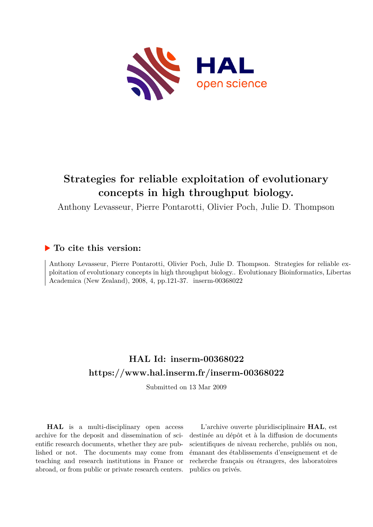

# **Strategies for reliable exploitation of evolutionary concepts in high throughput biology.**

Anthony Levasseur, Pierre Pontarotti, Olivier Poch, Julie D. Thompson

# **To cite this version:**

Anthony Levasseur, Pierre Pontarotti, Olivier Poch, Julie D. Thompson. Strategies for reliable exploitation of evolutionary concepts in high throughput biology.. Evolutionary Bioinformatics, Libertas Academica (New Zealand), 2008, 4, pp.121-37. inserm-00368022

# **HAL Id: inserm-00368022 <https://www.hal.inserm.fr/inserm-00368022>**

Submitted on 13 Mar 2009

**HAL** is a multi-disciplinary open access archive for the deposit and dissemination of scientific research documents, whether they are published or not. The documents may come from teaching and research institutions in France or abroad, or from public or private research centers.

L'archive ouverte pluridisciplinaire **HAL**, est destinée au dépôt et à la diffusion de documents scientifiques de niveau recherche, publiés ou non, émanant des établissements d'enseignement et de recherche français ou étrangers, des laboratoires publics ou privés.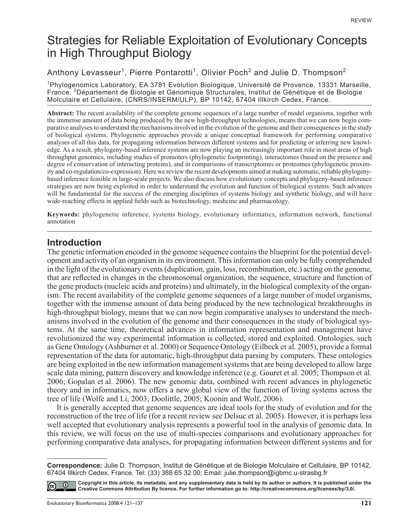# Strategies for Reliable Exploitation of Evolutionary Concepts in High Throughput Biology

## Anthony Levasseur<sup>1</sup>, Pierre Pontarotti<sup>1</sup>, Olivier Poch<sup>2</sup> and Julie D. Thompson<sup>2</sup>

<sup>1</sup>Phylogenomics Laboratory, EA 3781 Evolution Biologique, Université de Provence, 13331 Marseille, France. 2Département de Biologie et Génomique Structurales, Institut de Génétique et de Biologie Molculaire et Cellulaire, (CNRS/INSERM/ULP), BP 10142, 67404 Illkirch Cedex, France.

**Abstract:** The recent availability of the complete genome sequences of a large number of model organisms, together with the immense amount of data being produced by the new high-throughput technologies, means that we can now begin comparative analyses to understand the mechanisms involved in the evolution of the genome and their consequences in the study of biological systems. Phylogenetic approaches provide a unique conceptual framework for performing comparative analyses of all this data, for propagating information between different systems and for predicting or inferring new knowledge. As a result, phylogeny-based inference systems are now playing an increasingly important role in most areas of high throughput genomics, including studies of promoters (phylogenetic footprinting), interactomes (based on the presence and degree of conservation of interacting proteins), and in comparisons of transcriptomes or proteomes (phylogenetic proximity and co-regulation/co-expression). Here we review the recent developments aimed at making automatic, reliable phylogenybased inference feasible in large-scale projects. We also discuss how evolutionary concepts and phylogeny-based inference strategies are now being exploited in order to understand the evolution and function of biological systems. Such advances will be fundamental for the success of the emerging disciplines of systems biology and synthetic biology, and will have wide-reaching effects in applied fields such as biotechnology, medicine and pharmacology.

**Keywords:** phylogenetic inference, systems biology, evolutionary informatics, information network, functional annotation

## **Introduction**

The genetic information encoded in the genome sequence contains the blueprint for the potential development and activity of an organism in its environment. This information can only be fully comprehended in the light of the evolutionary events (duplication, gain, loss, recombination, etc.) acting on the genome, that are reflected in changes in the chromosomal organization, the sequence, structure and function of the gene products (nucleic acids and proteins) and ultimately, in the biological complexity of the organism. The recent availability of the complete genome sequences of a large number of model organisms, together with the immense amount of data being produced by the new technological breakthroughs in high-throughput biology, means that we can now begin comparative analyses to understand the mechanisms involved in the evolution of the genome and their consequences in the study of biological systems. At the same time, theoretical advances in information representation and management have revolutionized the way experimental information is collected, stored and exploited. Ontologies, such as Gene Ontology (Ashburner et al. 2000) or Sequence Ontology (Eilbeck et al. 2005), provide a formal representation of the data for automatic, high-throughput data parsing by computers. These ontologies are being exploited in the new information management systems that are being developed to allow large scale data mining, pattern discovery and knowledge inference (e.g. Gouret et al. 2005; Thompson et al. 2006; Gopalan et al. 2006). The new genomic data, combined with recent advances in phylogenetic theory and in informatics, now offers a new global view of the function of living systems across the tree of life (Wolfe and Li, 2003; Doolittle, 2005; Koonin and Wolf, 2006).

It is generally accepted that genome sequences are ideal tools for the study of evolution and for the reconstruction of the tree of life (for a recent review see Delsuc et al. 2005). However, it is perhaps less well accepted that evolutionary analysis represents a powerful tool in the analysis of genomic data. In this review, we will focus on the use of multi-species comparisons and evolutionary approaches for performing comparative data analyses, for propagating information between different systems and for

**Correspondence:** Julie D. Thompson, Institut de Génétique et de Biologie Molculaire et Cellulaire, BP 10142, 67404 Illkirch Cedex, France. Tel: (33) 388 65 32 00; Email: julie.thompson@igbmc.u-strasbg.fr



**Copyright in this article, its metadata, and any supplementary data is held by its author or authors. It is published under the Creative Commons Attribution By licence. For further information go to: http://creativecommons.org/licenses/by/3.0/.**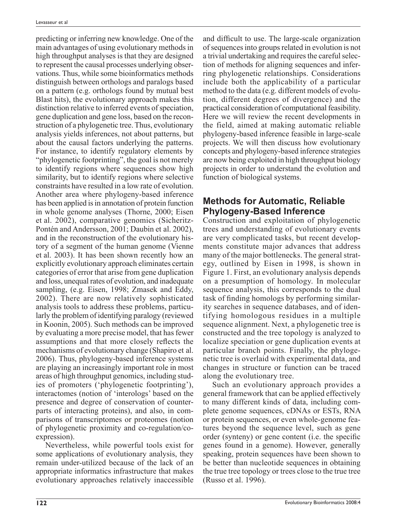predicting or inferring new knowledge. One of the main advantages of using evolutionary methods in high throughput analyses is that they are designed to represent the causal processes underlying observations. Thus, while some bioinformatics methods distinguish between orthologs and paralogs based on a pattern (e.g. orthologs found by mutual best Blast hits), the evolutionary approach makes this distinction relative to inferred events of speciation, gene duplication and gene loss, based on the reconstruction of a phylogenetic tree. Thus, evolutionary analysis yields inferences, not about patterns, but about the causal factors underlying the patterns. For instance, to identify regulatory elements by "phylogenetic footprinting", the goal is not merely to identify regions where sequences show high similarity, but to identify regions where selective constraints have resulted in a low rate of evolution. Another area where phylogeny-based inference has been applied is in annotation of protein function in whole genome analyses (Thorne, 2000; Eisen et al. 2002), comparative genomics (Sicheritz-Pontén and Andersson, 2001; Daubin et al. 2002), and in the reconstruction of the evolutionary history of a segment of the human genome (Vienne et al. 2003). It has been shown recently how an explicitly evolutionary approach eliminates certain categories of error that arise from gene duplication and loss, unequal rates of evolution, and inadequate sampling, (e.g. Eisen, 1998; Zmasek and Eddy, 2002). There are now relatively sophisticated analysis tools to address these problems, particularly the problem of identifying paralogy (reviewed in Koonin, 2005). Such methods can be improved by evaluating a more precise model, that has fewer assumptions and that more closely reflects the mechanisms of evolutionary change (Shapiro et al. 2006). Thus, phylogeny-based inference systems are playing an increasingly important role in most areas of high throughput genomics, including studies of promoters ('phylogenetic footprinting'), interactomes (notion of 'interologs' based on the presence and degree of conservation of counterparts of interacting proteins), and also, in comparisons of transcriptomes or proteomes (notion of phylogenetic proximity and co-regulation/coexpression).

Nevertheless, while powerful tools exist for some applications of evolutionary analysis, they remain under-utilized because of the lack of an appropriate informatics infrastructure that makes evolutionary approaches relatively inaccessible

and difficult to use. The large-scale organization of sequences into groups related in evolution is not a trivial undertaking and requires the careful selection of methods for aligning sequences and inferring phylogenetic relationships. Considerations include both the applicability of a particular method to the data (e.g. different models of evolution, different degrees of divergence) and the practical consideration of computational feasibility. Here we will review the recent developments in the field, aimed at making automatic reliable phylogeny-based inference feasible in large-scale projects. We will then discuss how evolutionary concepts and phylogeny-based inference strategies are now being exploited in high throughput biology projects in order to understand the evolution and function of biological systems.

## **Methods for Automatic, Reliable Phylogeny-Based Inference**

Construction and exploitation of phylogenetic trees and understanding of evolutionary events are very complicated tasks, but recent developments constitute major advances that address many of the major bottlenecks. The general strategy, outlined by Eisen in 1998, is shown in Figure 1. First, an evolutionary analysis depends on a presumption of homology. In molecular sequence analysis, this corresponds to the dual task of finding homologs by performing similarity searches in sequence databases, and of identifying homologous residues in a multiple sequence alignment. Next, a phylogenetic tree is constructed and the tree topology is analyzed to localize speciation or gene duplication events at particular branch points. Finally, the phylogenetic tree is overlaid with experimental data, and changes in structure or function can be traced along the evolutionary tree.

Such an evolutionary approach provides a general framework that can be applied effectively to many different kinds of data, including complete genome sequences, cDNAs or ESTs, RNA or protein sequences, or even whole-genome features beyond the sequence level, such as gene order (synteny) or gene content (i.e. the specific genes found in a genome). However, generally speaking, protein sequences have been shown to be better than nucleotide sequences in obtaining the true tree topology or trees close to the true tree (Russo et al. 1996).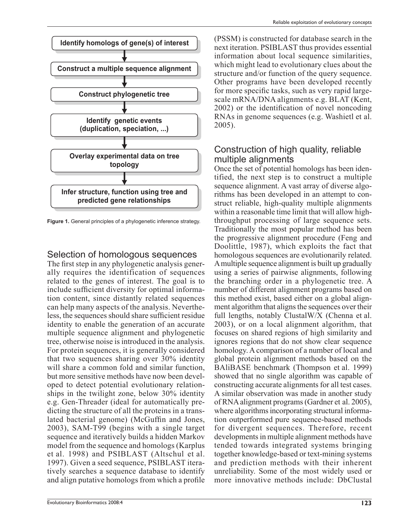

**Figure 1.** General principles of a phylogenetic inference strategy.

### Selection of homologous sequences

The first step in any phylogenetic analysis generally requires the identification of sequences related to the genes of interest. The goal is to include sufficient diversity for optimal information content, since distantly related sequences can help many aspects of the analysis. Nevertheless, the sequences should share sufficient residue identity to enable the generation of an accurate multiple sequence alignment and phylogenetic tree, otherwise noise is introduced in the analysis. For protein sequences, it is generally considered that two sequences sharing over 30% identity will share a common fold and similar function, but more sensitive methods have now been developed to detect potential evolutionary relationships in the twilight zone, below 30% identity e.g. Gen-Threader (ideal for automatically predicting the structure of all the proteins in a translated bacterial genome) (McGuffin and Jones, 2003), SAM-T99 (begins with a single target sequence and iteratively builds a hidden Markov model from the sequence and homologs (Karplus et al. 1998) and PSIBLAST (Altschul et al. 1997). Given a seed sequence, PSIBLAST iteratively searches a sequence database to identify and align putative homologs from which a profile (PSSM) is constructed for database search in the next iteration. PSIBLAST thus provides essential information about local sequence similarities, which might lead to evolutionary clues about the structure and/or function of the query sequence. Other programs have been developed recently for more specific tasks, such as very rapid largescale mRNA/DNA alignments e.g. BLAT (Kent,  $2002$ ) or the identification of novel noncoding RNAs in genome sequences (e.g. Washietl et al. 2005).

## Construction of high quality, reliable multiple alignments

Once the set of potential homologs has been identified, the next step is to construct a multiple sequence alignment. A vast array of diverse algorithms has been developed in an attempt to construct reliable, high-quality multiple alignments within a reasonable time limit that will allow highthroughput processing of large sequence sets. Traditionally the most popular method has been the progressive alignment procedure (Feng and Doolittle, 1987), which exploits the fact that homologous sequences are evolutionarily related. A multiple sequence alignment is built up gradually using a series of pairwise alignments, following the branching order in a phylogenetic tree. A number of different alignment programs based on this method exist, based either on a global alignment algorithm that aligns the sequences over their full lengths, notably ClustalW/X (Chenna et al. 2003), or on a local alignment algorithm, that focuses on shared regions of high similarity and ignores regions that do not show clear sequence homology. A comparison of a number of local and global protein alignment methods based on the BAliBASE benchmark (Thompson et al. 1999) showed that no single algorithm was capable of constructing accurate alignments for all test cases. A similar observation was made in another study of RNA alignment programs (Gardner et al. 2005), where algorithms incorporating structural information outperformed pure sequence-based methods for divergent sequences. Therefore, recent developments in multiple alignment methods have tended towards integrated systems bringing together knowledge-based or text-mining systems and prediction methods with their inherent unreliability. Some of the most widely used or more innovative methods include: DbClustal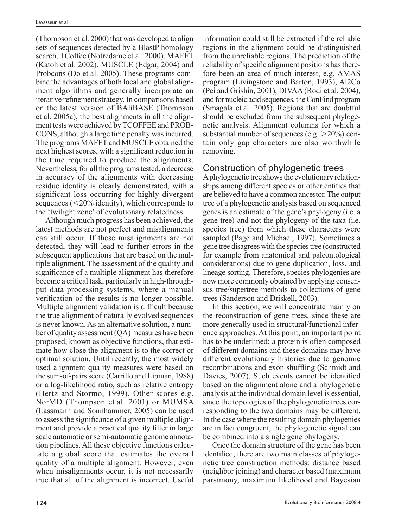(Thompson et al. 2000) that was developed to align sets of sequences detected by a BlastP homology search, TCoffee (Notredame et al. 2000), MAFFT (Katoh et al. 2002), MUSCLE (Edgar, 2004) and Probcons (Do et al. 2005). These programs combine the advantages of both local and global alignment algorithms and generally incorporate an iterative refinement strategy. In comparisons based on the latest version of BAliBASE (Thompson et al. 2005a), the best alignments in all the alignment tests were achieved by TCOFFEE and PROB-CONS, although a large time penalty was incurred. The programs MAFFT and MUSCLE obtained the next highest scores, with a significant reduction in the time required to produce the alignments. Nevertheless, for all the programs tested, a decrease in accuracy of the alignments with decreasing residue identity is clearly demonstrated, with a significant loss occurring for highly divergent sequences  $\left( \langle 20\% \right.$  identity), which corresponds to the 'twilight zone' of evolutionary relatedness.

Although much progress has been achieved, the latest methods are not perfect and misalignments can still occur. If these misalignments are not detected, they will lead to further errors in the subsequent applications that are based on the multiple alignment. The assessment of the quality and significance of a multiple alignment has therefore become a critical task, particularly in high-throughput data processing systems, where a manual verification of the results is no longer possible. Multiple alignment validation is difficult because the true alignment of naturally evolved sequences is never known. As an alternative solution, a number of quality assessment (QA) measures have been proposed, known as objective functions, that estimate how close the alignment is to the correct or optimal solution. Until recently, the most widely used alignment quality measures were based on the sum-of-pairs score (Carrillo and Lipman, 1988) or a log-likelihood ratio, such as relative entropy (Hertz and Stormo, 1999). Other scores e.g. NorMD (Thompson et al. 2001) or MUMSA (Lassmann and Sonnhammer, 2005) can be used to assess the significance of a given multiple alignment and provide a practical quality filter in large scale automatic or semi-automatic genome annotation pipelines. All these objective functions calculate a global score that estimates the overall quality of a multiple alignment. However, even when misalignments occur, it is not necessarily true that all of the alignment is incorrect. Useful

information could still be extracted if the reliable regions in the alignment could be distinguished from the unreliable regions. The prediction of the reliability of specific alignment positions has therefore been an area of much interest, e.g. AMAS program (Livingstone and Barton, 1993), Al2Co (Pei and Grishin, 2001), DIVAA (Rodi et al. 2004), and for nucleic acid sequences, the ConFind program (Smagala et al. 2005). Regions that are doubtful should be excluded from the subsequent phylogenetic analysis. Alignment columns for which a substantial number of sequences (e.g.  $>20\%$ ) contain only gap characters are also worthwhile removing.

# Construction of phylogenetic trees

A phylogenetic tree shows the evolutionary relationships among different species or other entities that are believed to have a common ancestor. The output tree of a phylogenetic analysis based on sequenced genes is an estimate of the gene's phylogeny (i.e. a gene tree) and not the phylogeny of the taxa (i.e. species tree) from which these characters were sampled (Page and Michael, 1997). Sometimes a gene tree disagrees with the species tree (constructed for example from anatomical and paleontological considerations) due to gene duplication, loss, and lineage sorting. Therefore, species phylogenies are now more commonly obtained by applying consensus tree/supertree methods to collections of gene trees (Sanderson and Driskell, 2003).

In this section, we will concentrate mainly on the reconstruction of gene trees, since these are more generally used in structural/functional inference approaches. At this point, an important point has to be underlined: a protein is often composed of different domains and these domains may have different evolutionary histories due to genomic recombinations and exon shuffling (Schmidt and Davies, 2007). Such events cannot be identified based on the alignment alone and a phylogenetic analysis at the individual domain level is essential, since the topologies of the phylogenetic trees corresponding to the two domains may be different. In the case where the resulting domain phylogenies are in fact congruent, the phylogenetic signal can be combined into a single gene phylogeny.

Once the domain structure of the gene has been identified, there are two main classes of phylogenetic tree construction methods: distance based (neighbor joining) and character based (maximum parsimony, maximum likelihood and Bayesian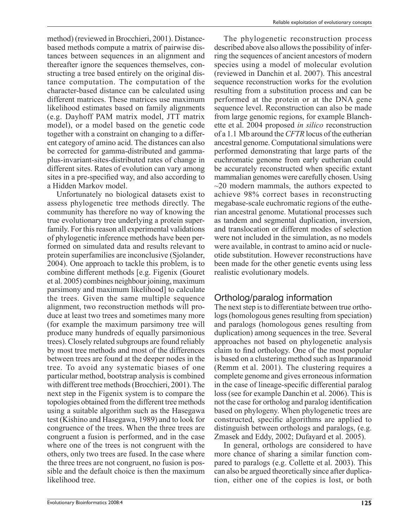method) (reviewed in Brocchieri, 2001). Distancebased methods compute a matrix of pairwise distances between sequences in an alignment and thereafter ignore the sequences themselves, constructing a tree based entirely on the original distance computation. The computation of the character-based distance can be calculated using different matrices. These matrices use maximum likelihood estimates based on family alignments (e.g. Dayhoff PAM matrix model, JTT matrix model), or a model based on the genetic code together with a constraint on changing to a different category of amino acid. The distances can also be corrected for gamma-distributed and gammaplus-invariant-sites-distributed rates of change in different sites. Rates of evolution can vary among sites in a pre-specified way, and also according to a Hidden Markov model.

Unfortunately no biological datasets exist to assess phylogenetic tree methods directly. The community has therefore no way of knowing the true evolutionary tree underlying a protein superfamily. For this reason all experimental validations of phylogenetic inference methods have been performed on simulated data and results relevant to protein superfamilies are inconclusive (Sjolander, 2004). One approach to tackle this problem, is to combine different methods [e.g. Figenix (Gouret et al. 2005) combines neighbour joining, maximum parsimony and maximum likelihood] to calculate the trees. Given the same multiple sequence alignment, two reconstruction methods will produce at least two trees and sometimes many more (for example the maximum parsimony tree will produce many hundreds of equally parsimonious trees). Closely related subgroups are found reliably by most tree methods and most of the differences between trees are found at the deeper nodes in the tree. To avoid any systematic biases of one particular method, bootstrap analysis is combined with different tree methods (Brocchieri, 2001). The next step in the Figenix system is to compare the topologies obtained from the different tree methods using a suitable algorithm such as the Hasegawa test (Kishino and Hasegawa, 1989) and to look for congruence of the trees. When the three trees are congruent a fusion is performed, and in the case where one of the trees is not congruent with the others, only two trees are fused. In the case where the three trees are not congruent, no fusion is possible and the default choice is then the maximum likelihood tree.

The phylogenetic reconstruction process described above also allows the possibility of inferring the sequences of ancient ancestors of modern species using a model of molecular evolution (reviewed in Danchin et al. 2007). This ancestral sequence reconstruction works for the evolution resulting from a substitution process and can be performed at the protein or at the DNA gene sequence level. Reconstruction can also be made from large genomic regions, for example Blanchette et al. 2004 proposed *in silico* reconstruction of a 1.1 Mb around the *CFTR* locus of the eutherian ancestral genome. Computational simulations were performed demonstrating that large parts of the euchromatic genome from early eutherian could be accurately reconstructed when specific extant mammalian genomes were carefully chosen. Using  $\sim$ 20 modern mammals, the authors expected to achieve 98% correct bases in reconstructing megabase-scale euchromatic regions of the eutherian ancestral genome. Mutational processes such as tandem and segmental duplication, inversion, and translocation or different modes of selection were not included in the simulation, as no models were available, in contrast to amino acid or nucleotide substitution. However reconstructions have been made for the other genetic events using less realistic evolutionary models.

## Ortholog/paralog information

The next step is to differentiate between true orthologs (homologous genes resulting from speciation) and paralogs (homologous genes resulting from duplication) among sequences in the tree. Several approaches not based on phylogenetic analysis claim to find orthology. One of the most popular is based on a clustering method such as Inparanoid (Remm et al. 2001). The clustering requires a complete genome and gives erroneous information in the case of lineage-specific differential paralog loss (see for example Danchin et al. 2006). This is not the case for ortholog and paralog identification based on phylogeny. When phylogenetic trees are constructed, specific algorithms are applied to distinguish between orthologs and paralogs, (e.g. Zmasek and Eddy, 2002; Dufayard et al. 2005).

In general, orthologs are considered to have more chance of sharing a similar function compared to paralogs (e.g. Collette et al. 2003). This can also be argued theoretically since after duplication, either one of the copies is lost, or both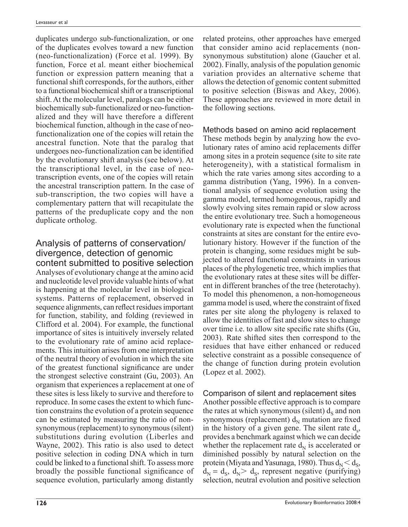duplicates undergo sub-functionalization, or one of the duplicates evolves toward a new function (neo-functionalization) (Force et al. 1999). By function, Force et al. meant either biochemical function or expression pattern meaning that a functional shift corresponds, for the authors, either to a functional biochemical shift or a transcriptional shift. At the molecular level, paralogs can be either biochemically sub-functionalized or neo-functionalized and they will have therefore a different biochemical function, although in the case of neofunctionalization one of the copies will retain the ancestral function. Note that the paralog that undergoes neo-functionalization can be identified by the evolutionary shift analysis (see below). At the transcriptional level, in the case of neotranscription events, one of the copies will retain the ancestral transcription pattern. In the case of sub-transcription, the two copies will have a complementary pattern that will recapitulate the patterns of the preduplicate copy and the non duplicate ortholog.

#### Analysis of patterns of conservation/ divergence, detection of genomic content submitted to positive selection Analyses of evolutionary change at the amino acid and nucleotide level provide valuable hints of what is happening at the molecular level in biological systems. Patterns of replacement, observed in sequence alignments, can reflect residues important for function, stability, and folding (reviewed in Clifford et al. 2004). For example, the functional importance of sites is intuitively inversely related to the evolutionary rate of amino acid replacements. This intuition arises from one interpretation of the neutral theory of evolution in which the site of the greatest functional significance are under the strongest selective constraint (Gu, 2003). An organism that experiences a replacement at one of these sites is less likely to survive and therefore to reproduce. In some cases the extent to which function constrains the evolution of a protein sequence can be estimated by measuring the ratio of nonsynonymous (replacement) to synonymous (silent) substitutions during evolution (Liberles and Wayne, 2002). This ratio is also used to detect positive selection in coding DNA which in turn could be linked to a functional shift. To assess more broadly the possible functional significance of sequence evolution, particularly among distantly

related proteins, other approaches have emerged that consider amino acid replacements (nonsynonymous substitution) alone (Gaucher et al. 2002). Finally, analysis of the population genomic variation provides an alternative scheme that allows the detection of genomic content submitted to positive selection (Biswas and Akey, 2006). These approaches are reviewed in more detail in the following sections.

#### Methods based on amino acid replacement

These methods begin by analyzing how the evolutionary rates of amino acid replacements differ among sites in a protein sequence (site to site rate heterogeneity), with a statistical formalism in which the rate varies among sites according to a gamma distribution (Yang, 1996). In a conventional analysis of sequence evolution using the gamma model, termed homogeneous, rapidly and slowly evolving sites remain rapid or slow across the entire evolutionary tree. Such a homogeneous evolutionary rate is expected when the functional constraints at sites are constant for the entire evolutionary history. However if the function of the protein is changing, some residues might be subjected to altered functional constraints in various places of the phylogenetic tree, which implies that the evolutionary rates at these sites will be different in different branches of the tree (heterotachy). To model this phenomenon, a non-homogeneous gamma model is used, where the constraint of fixed rates per site along the phylogeny is relaxed to allow the identities of fast and slow sites to change over time i.e. to allow site specific rate shifts (Gu, 2003). Rate shifted sites then correspond to the residues that have either enhanced or reduced selective constraint as a possible consequence of the change of function during protein evolution (Lopez et al. 2002).

#### Comparison of silent and replacement sites

Another possible effective approach is to compare the rates at which synonymous (silent)  $d_s$  and non synonymous (replacement)  $d_N$  mutation are fixed in the history of a given gene. The silent rate  $d_{\rm s}$ , provides a benchmark against which we can decide whether the replacement rate  $d_N$  is accelerated or diminished possibly by natural selection on the protein (Miyata and Yasunaga, 1980). Thus  $d_N < d_S$ ,  $d_N = d_S$ ,  $d_N > d_S$ , represent negative (purifying) selection, neutral evolution and positive selection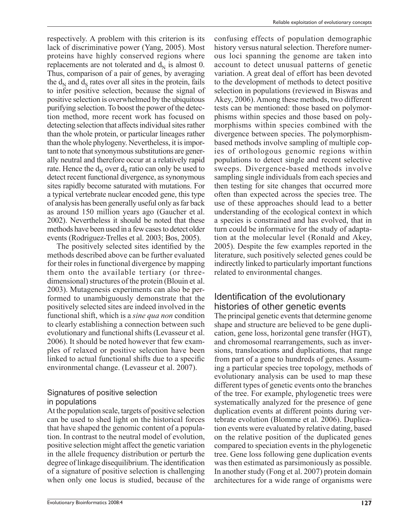respectively. A problem with this criterion is its lack of discriminative power (Yang, 2005). Most proteins have highly conserved regions where replacements are not tolerated and  $d_N$  is almost 0. Thus, comparison of a pair of genes, by averaging the  $d_N$  and  $d_S$  rates over all sites in the protein, fails to infer positive selection, because the signal of positive selection is overwhelmed by the ubiquitous purifying selection. To boost the power of the detection method, more recent work has focused on detecting selection that affects individual sites rather than the whole protein, or particular lineages rather than the whole phylogeny. Nevertheless, it is important to note that synonymous substitutions are generally neutral and therefore occur at a relatively rapid rate. Hence the  $d_N$  over  $d_S$  ratio can only be used to detect recent functional divergence, as synonymous sites rapidly become saturated with mutations. For a typical vertebrate nuclear encoded gene, this type of analysis has been generally useful only as far back as around 150 million years ago (Gaucher et al. 2002). Nevertheless it should be noted that these methods have been used in a few cases to detect older events (Rodriguez-Trelles et al. 2003; Bos, 2005).

The positively selected sites identified by the methods described above can be further evaluated for their roles in functional divergence by mapping them onto the available tertiary (or threedimensional) structures of the protein (Blouin et al. 2003). Mutagenesis experiments can also be performed to unambiguously demonstrate that the positively selected sites are indeed involved in the functional shift, which is a *sine qua non* condition to clearly establishing a connection between such evolutionary and functional shifts (Levasseur et al. 2006). It should be noted however that few examples of relaxed or positive selection have been linked to actual functional shifts due to a specific environmental change. (Levasseur et al. 2007).

#### Signatures of positive selection in populations

At the population scale, targets of positive selection can be used to shed light on the historical forces that have shaped the genomic content of a population. In contrast to the neutral model of evolution, positive selection might affect the genetic variation in the allele frequency distribution or perturb the degree of linkage disequilibrium. The identification of a signature of positive selection is challenging when only one locus is studied, because of the confusing effects of population demographic history versus natural selection. Therefore numerous loci spanning the genome are taken into account to detect unusual patterns of genetic variation. A great deal of effort has been devoted to the development of methods to detect positive selection in populations (reviewed in Biswas and Akey, 2006). Among these methods, two different tests can be mentioned: those based on polymorphisms within species and those based on polymorphisms within species combined with the divergence between species. The polymorphismbased methods involve sampling of multiple copies of orthologous genomic regions within populations to detect single and recent selective sweeps. Divergence-based methods involve sampling single individuals from each species and then testing for site changes that occurred more often than expected across the species tree. The use of these approaches should lead to a better understanding of the ecological context in which a species is constrained and has evolved, that in turn could be informative for the study of adaptation at the molecular level (Ronald and Akey, 2005). Despite the few examples reported in the literature, such positively selected genes could be indirectly linked to particularly important functions related to environmental changes.

# Identification of the evolutionary histories of other genetic events

The principal genetic events that determine genome shape and structure are believed to be gene duplication, gene loss, horizontal gene transfer (HGT), and chromosomal rearrangements, such as inversions, translocations and duplications, that range from part of a gene to hundreds of genes. Assuming a particular species tree topology, methods of evolutionary analysis can be used to map these different types of genetic events onto the branches of the tree. For example, phylogenetic trees were systematically analyzed for the presence of gene duplication events at different points during vertebrate evolution (Blomme et al. 2006). Duplication events were evaluated by relative dating, based on the relative position of the duplicated genes compared to speciation events in the phylogenetic tree. Gene loss following gene duplication events was then estimated as parsimoniously as possible. In another study (Fong et al. 2007) protein domain architectures for a wide range of organisms were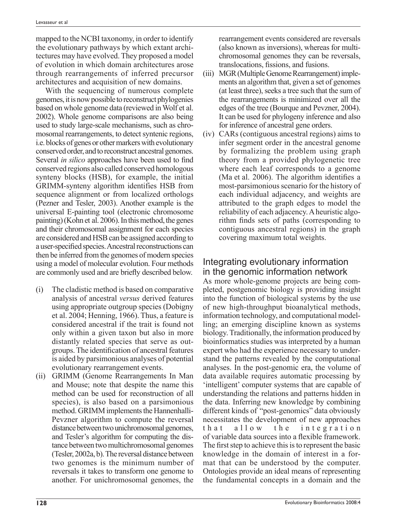mapped to the NCBI taxonomy, in order to identify the evolutionary pathways by which extant architectures may have evolved. They proposed a model of evolution in which domain architectures arose through rearrangements of inferred precursor architectures and acquisition of new domains.

With the sequencing of numerous complete genomes, it is now possible to reconstruct phylogenies based on whole genome data (reviewed in Wolf et al. 2002). Whole genome comparisons are also being used to study large-scale mechanisms, such as chromosomal rearrangements, to detect syntenic regions, i.e. blocks of genes or other markers with evolutionary conserved order, and to reconstruct ancestral genomes. Several *in silico* approaches have been used to find conserved regions also called conserved homologous synteny blocks (HSB), for example, the initial GRIMM-synteny algorithm identifies HSB from sequence alignment or from localized orthologs (Pezner and Tesler, 2003). Another example is the universal E-painting tool (electronic chromosome painting) (Kohn et al. 2006). In this method, the genes and their chromosomal assignment for each species are considered and HSB can be assigned according to a user-specified species. Ancestral reconstructions can then be inferred from the genomes of modern species using a model of molecular evolution. Four methods are commonly used and are briefly described below.

- (i) The cladistic method is based on comparative analysis of ancestral *versus* derived features using appropriate outgroup species (Dobigny et al. 2004; Henning, 1966). Thus, a feature is considered ancestral if the trait is found not only within a given taxon but also in more distantly related species that serve as outgroups. The identification of ancestral features is aided by parsimonious analyses of potential evolutionary rearrangement events.
- (ii) GRIMM (Genome Rearrangements In Man and Mouse; note that despite the name this method can be used for reconstruction of all species), is also based on a parsimonious method. GRIMM implements the Hannenhalli-Pevzner algorithm to compute the reversal distance between two unichromosomal genomes, and Tesler's algorithm for computing the distance between two multichromosomal genomes (Tesler, 2002a, b). The reversal distance between two genomes is the minimum number of reversals it takes to transform one genome to another. For unichromosomal genomes, the

rearrangement events considered are reversals (also known as inversions), whereas for multichromosomal genomes they can be reversals, translocations, fissions, and fusions.

- (iii) MGR (Multiple Genome Rearrangement) implements an algorithm that, given a set of genomes (at least three), seeks a tree such that the sum of the rearrangements is minimized over all the edges of the tree (Bourque and Pevzner, 2004). It can be used for phylogeny inference and also for inference of ancestral gene orders.
- (iv) CARs (contiguous ancestral regions) aims to infer segment order in the ancestral genome by formalizing the problem using graph theory from a provided phylogenetic tree where each leaf corresponds to a genome (Ma et al.  $2006$ ). The algorithm identifies a most-parsimonious scenario for the history of each individual adjacency, and weights are attributed to the graph edges to model the reliability of each adjacency. A heuristic algorithm finds sets of paths (corresponding to contiguous ancestral regions) in the graph covering maximum total weights.

## Integrating evolutionary information in the genomic information network

As more whole-genome projects are being completed, postgenomic biology is providing insight into the function of biological systems by the use of new high-throughput bioanalytical methods, information technology, and computational modelling; an emerging discipline known as systems biology. Traditionally, the information produced by bioinformatics studies was interpreted by a human expert who had the experience necessary to understand the patterns revealed by the computational analyses. In the post-genomic era, the volume of data available requires automatic processing by 'intelligent' computer systems that are capable of understanding the relations and patterns hidden in the data. Inferring new knowledge by combining different kinds of "post-genomics" data obviously necessitates the development of new approaches that allow the integration of variable data sources into a flexible framework. The first step to achieve this is to represent the basic knowledge in the domain of interest in a format that can be understood by the computer. Ontologies provide an ideal means of representing the fundamental concepts in a domain and the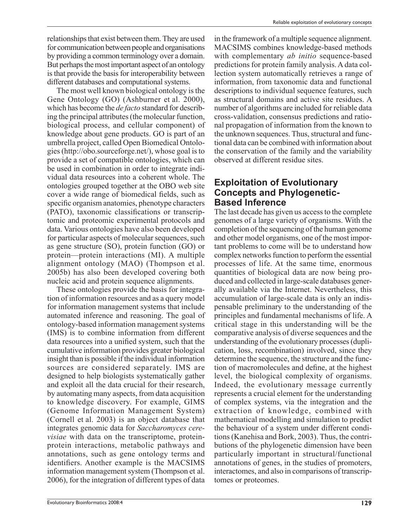relationships that exist between them. They are used for communication between people and organisations by providing a common terminology over a domain. But perhaps the most important aspect of an ontology is that provide the basis for interoperability between different databases and computational systems.

The most well known biological ontology is the Gene Ontology (GO) (Ashburner et al. 2000), which has become the *de facto* standard for describing the principal attributes (the molecular function, biological process, and cellular component) of knowledge about gene products. GO is part of an umbrella project, called Open Biomedical Ontologies (http://obo.sourceforge.net/), whose goal is to provide a set of compatible ontologies, which can be used in combination in order to integrate individual data resources into a coherent whole. The ontologies grouped together at the OBO web site cover a wide range of biomedical fields, such as specific organism anatomies, phenotype characters (PATO), taxonomic classifications or transcriptomic and proteomic experimental protocols and data. Various ontologies have also been developed for particular aspects of molecular sequences, such as gene structure (SO), protein function (GO) or protein—protein interactions (MI). A multiple alignment ontology (MAO) (Thompson et al. 2005b) has also been developed covering both nucleic acid and protein sequence alignments.

These ontologies provide the basis for integration of information resources and as a query model for information management systems that include automated inference and reasoning. The goal of ontology-based information management systems (IMS) is to combine information from different data resources into a unified system, such that the cumulative information provides greater biological insight than is possible if the individual information sources are considered separately. IMS are designed to help biologists systematically gather and exploit all the data crucial for their research, by automating many aspects, from data acquisition to knowledge discovery. For example, GIMS (Genome Information Management System) (Cornell et al. 2003) is an object database that integrates genomic data for *Saccharomyces cerevisiae* with data on the transcriptome, proteinprotein interactions, metabolic pathways and annotations, such as gene ontology terms and identifiers. Another example is the MACSIMS information management system (Thompson et al. 2006), for the integration of different types of data

in the framework of a multiple sequence alignment. MACSIMS combines knowledge-based methods with complementary *ab initio* sequence-based predictions for protein family analysis. A data collection system automatically retrieves a range of information, from taxonomic data and functional descriptions to individual sequence features, such as structural domains and active site residues. A number of algorithms are included for reliable data cross-validation, consensus predictions and rational propagation of information from the known to the unknown sequences. Thus, structural and functional data can be combined with information about the conservation of the family and the variability observed at different residue sites.

## **Exploitation of Evolutionary Concepts and Phylogenetic-Based Inference**

The last decade has given us access to the complete genomes of a large variety of organisms. With the completion of the sequencing of the human genome and other model organisms, one of the most important problems to come will be to understand how complex networks function to perform the essential processes of life. At the same time, enormous quantities of biological data are now being produced and collected in large-scale databases generally available via the Internet. Nevertheless, this accumulation of large-scale data is only an indispensable preliminary to the understanding of the principles and fundamental mechanisms of life. A critical stage in this understanding will be the comparative analysis of diverse sequences and the understanding of the evolutionary processes (duplication, loss, recombination) involved, since they determine the sequence, the structure and the function of macromolecules and define, at the highest level, the biological complexity of organisms. Indeed, the evolutionary message currently represents a crucial element for the understanding of complex systems, via the integration and the extraction of knowledge, combined with mathematical modelling and simulation to predict the behaviour of a system under different conditions (Kanehisa and Bork, 2003). Thus, the contributions of the phylogenetic dimension have been particularly important in structural/functional annotations of genes, in the studies of promoters, interactomes, and also in comparisons of transcriptomes or proteomes.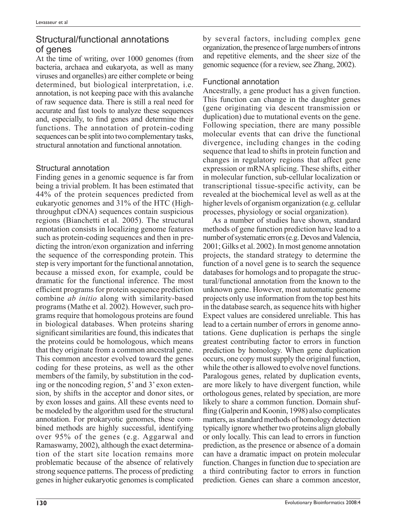# Structural/functional annotations of genes

At the time of writing, over 1000 genomes (from bacteria, archaea and eukaryota, as well as many viruses and organelles) are either complete or being determined, but biological interpretation, i.e. annotation, is not keeping pace with this avalanche of raw sequence data. There is still a real need for accurate and fast tools to analyze these sequences and, especially, to find genes and determine their functions. The annotation of protein-coding sequences can be split into two complementary tasks, structural annotation and functional annotation.

## Structural annotation

Finding genes in a genomic sequence is far from being a trivial problem. It has been estimated that 44% of the protein sequences predicted from eukaryotic genomes and 31% of the HTC (Highthroughput cDNA) sequences contain suspicious regions (Bianchetti et al. 2005). The structural annotation consists in localizing genome features such as protein-coding sequences and then in predicting the intron/exon organization and inferring the sequence of the corresponding protein. This step is very important for the functional annotation, because a missed exon, for example, could be dramatic for the functional inference. The most efficient programs for protein sequence prediction combine *ab initio* along with similarity-based programs (Mathe et al. 2002). However, such programs require that homologous proteins are found in biological databases. When proteins sharing significant similarities are found, this indicates that the proteins could be homologous, which means that they originate from a common ancestral gene. This common ancestor evolved toward the genes coding for these proteins, as well as the other members of the family, by substitution in the coding or the noncoding region, 5' and 3' exon extension, by shifts in the acceptor and donor sites, or by exon losses and gains. All these events need to be modeled by the algorithm used for the structural annotation. For prokaryotic genomes, these combined methods are highly successful, identifying over 95% of the genes (e.g. Aggarwal and Ramaswamy, 2002), although the exact determination of the start site location remains more problematic because of the absence of relatively strong sequence patterns. The process of predicting genes in higher eukaryotic genomes is complicated

by several factors, including complex gene organization, the presence of large numbers of introns and repetitive elements, and the sheer size of the genomic sequence (for a review, see Zhang, 2002).

# Functional annotation

Ancestrally, a gene product has a given function. This function can change in the daughter genes (gene originating via descent transmission or duplication) due to mutational events on the gene. Following speciation, there are many possible molecular events that can drive the functional divergence, including changes in the coding sequence that lead to shifts in protein function and changes in regulatory regions that affect gene expression or mRNA splicing. These shifts, either in molecular function, sub-cellular localization or transcriptional tissue-specific activity, can be revealed at the biochemical level as well as at the higher levels of organism organization (e.g. cellular processes, physiology or social organization).

As a number of studies have shown, standard methods of gene function prediction have lead to a number of systematic errors (e.g. Devos and Valencia, 2001; Gilks et al. 2002). In most genome annotation projects, the standard strategy to determine the function of a novel gene is to search the sequence databases for homologs and to propagate the structural/functional annotation from the known to the unknown gene. However, most automatic genome projects only use information from the top best hits in the database search, as sequence hits with higher Expect values are considered unreliable. This has lead to a certain number of errors in genome annotations. Gene duplication is perhaps the single greatest contributing factor to errors in function prediction by homology. When gene duplication occurs, one copy must supply the original function, while the other is allowed to evolve novel functions. Paralogous genes, related by duplication events, are more likely to have divergent function, while orthologous genes, related by speciation, are more likely to share a common function. Domain shuffling (Galperin and Koonin, 1998) also complicates matters, as standard methods of homology detection typically ignore whether two proteins align globally or only locally. This can lead to errors in function prediction, as the presence or absence of a domain can have a dramatic impact on protein molecular function. Changes in function due to speciation are a third contributing factor to errors in function prediction. Genes can share a common ancestor,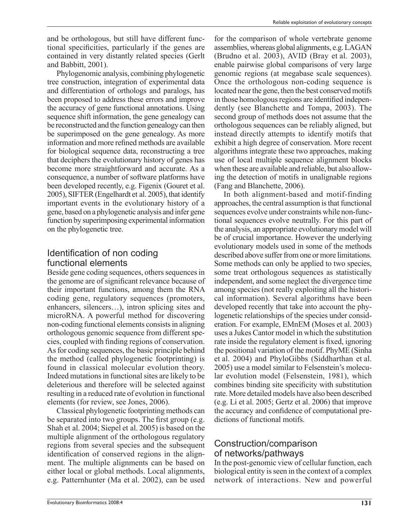and be orthologous, but still have different functional specificities, particularly if the genes are contained in very distantly related species (Gerlt and Babbitt, 2001).

Phylogenomic analysis, combining phylogenetic tree construction, integration of experimental data and differentiation of orthologs and paralogs, has been proposed to address these errors and improve the accuracy of gene functional annotations. Using sequence shift information, the gene genealogy can be reconstructed and the function genealogy can then be superimposed on the gene genealogy. As more information and more refined methods are available for biological sequence data, reconstructing a tree that deciphers the evolutionary history of genes has become more straightforward and accurate. As a consequence, a number of software platforms have been developed recently, e.g. Figenix (Gouret et al. 2005), SIFTER (Engelhardt et al. 2005), that identify important events in the evolutionary history of a gene, based on a phylogenetic analysis and infer gene function by superimposing experimental information on the phylogenetic tree.

# Identification of non coding functional elements

Beside gene coding sequences, others sequences in the genome are of significant relevance because of their important functions, among them the RNA coding gene, regulatory sequences (promoters, enhancers, silencers…), intron splicing sites and microRNA. A powerful method for discovering non-coding functional elements consists in aligning orthologous genomic sequence from different species, coupled with finding regions of conservation. As for coding sequences, the basic principle behind the method (called phylogenetic footprinting) is found in classical molecular evolution theory. Indeed mutations in functional sites are likely to be deleterious and therefore will be selected against resulting in a reduced rate of evolution in functional elements (for review, see Jones, 2006).

Classical phylogenetic footprinting methods can be separated into two groups. The first group (e.g. Shah et al. 2004; Siepel et al. 2005) is based on the multiple alignment of the orthologous regulatory regions from several species and the subsequent identification of conserved regions in the alignment. The multiple alignments can be based on either local or global methods. Local alignments, e.g. Patternhunter (Ma et al. 2002), can be used

for the comparison of whole vertebrate genome assemblies, whereas global alignments, e.g. LAGAN (Brudno et al. 2003), AVID (Bray et al. 2003), enable pairwise global comparisons of very large genomic regions (at megabase scale sequences). Once the orthologous non-coding sequence is located near the gene, then the best conserved motifs in those homologous regions are identified independently (see Blanchette and Tompa, 2003). The second group of methods does not assume that the orthologous sequences can be reliably aligned, but instead directly attempts to identify motifs that exhibit a high degree of conservation. More recent algorithms integrate these two approaches, making use of local multiple sequence alignment blocks when these are available and reliable, but also allowing the detection of motifs in unalignable regions (Fang and Blanchette, 2006).

In both alignment-based and motif-finding approaches, the central assumption is that functional sequences evolve under constraints while non-functional sequences evolve neutrally. For this part of the analysis, an appropriate evolutionary model will be of crucial importance. However the underlying evolutionary models used in some of the methods described above suffer from one or more limitations. Some methods can only be applied to two species, some treat orthologous sequences as statistically independent, and some neglect the divergence time among species (not really exploiting all the historical information). Several algorithms have been developed recently that take into account the phylogenetic relationships of the species under consideration. For example, EMnEM (Moses et al. 2003) uses a Jukes Cantor model in which the substitution rate inside the regulatory element is fixed, ignoring the positional variation of the motif. PhyME (Sinha et al. 2004) and PhyloGibbs (Siddharthan et al. 2005) use a model similar to Felsenstein's molecular evolution model (Felsenstein, 1981), which combines binding site specificity with substitution rate. More detailed models have also been described (e.g. Li et al. 2005; Gertz et al. 2006) that improve the accuracy and confidence of computational predictions of functional motifs.

# Construction/comparison of networks/pathways

In the post-genomic view of cellular function, each biological entity is seen in the context of a complex network of interactions. New and powerful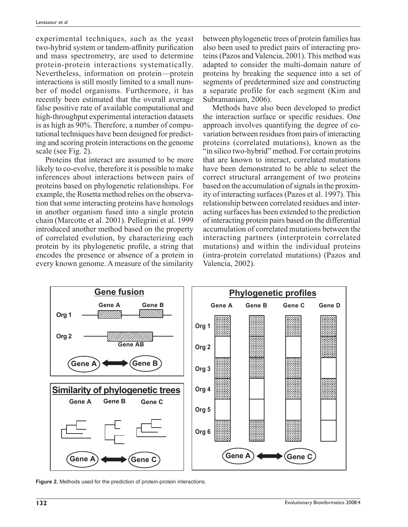experimental techniques, such as the yeast two-hybrid system or tandem-affinity purification and mass spectrometry, are used to determine protein-protein interactions systematically. Nevertheless, information on protein—protein interactions is still mostly limited to a small number of model organisms. Furthermore, it has recently been estimated that the overall average false positive rate of available computational and high-throughput experimental interaction datasets is as high as 90%. Therefore, a number of computational techniques have been designed for predicting and scoring protein interactions on the genome scale (see Fig. 2).

Proteins that interact are assumed to be more likely to co-evolve, therefore it is possible to make inferences about interactions between pairs of proteins based on phylogenetic relationships. For example, the Rosetta method relies on the observation that some interacting proteins have homologs in another organism fused into a single protein chain (Marcotte et al. 2001). Pellegrini et al. 1999 introduced another method based on the property of correlated evolution, by characterizing each protein by its phylogenetic profile, a string that encodes the presence or absence of a protein in every known genome. A measure of the similarity

between phylogenetic trees of protein families has also been used to predict pairs of interacting proteins (Pazos and Valencia, 2001). This method was adapted to consider the multi-domain nature of proteins by breaking the sequence into a set of segments of predetermined size and constructing a separate profile for each segment (Kim and Subramaniam, 2006).

Methods have also been developed to predict the interaction surface or specific residues. One approach involves quantifying the degree of covariation between residues from pairs of interacting proteins (correlated mutations), known as the "in silico two-hybrid" method. For certain proteins that are known to interact, correlated mutations have been demonstrated to be able to select the correct structural arrangement of two proteins based on the accumulation of signals in the proximity of interacting surfaces (Pazos et al. 1997). This relationship between correlated residues and interacting surfaces has been extended to the prediction of interacting protein pairs based on the differential accumulation of correlated mutations between the interacting partners (interprotein correlated mutations) and within the individual proteins (intra-protein correlated mutations) (Pazos and Valencia, 2002).



**Figure 2.** Methods used for the prediction of protein-protein interactions.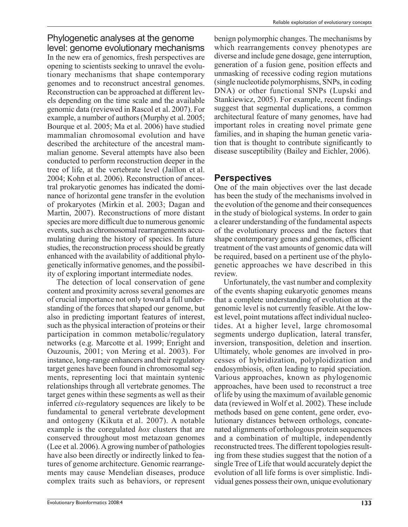Phylogenetic analyses at the genome level: genome evolutionary mechanisms In the new era of genomics, fresh perspectives are opening to scientists seeking to unravel the evolutionary mechanisms that shape contemporary genomes and to reconstruct ancestral genomes. Reconstruction can be approached at different levels depending on the time scale and the available genomic data (reviewed in Rascol et al. 2007). For example, a number of authors (Murphy et al. 2005; Bourque et al. 2005; Ma et al. 2006) have studied mammalian chromosomal evolution and have described the architecture of the ancestral mammalian genome. Several attempts have also been conducted to perform reconstruction deeper in the tree of life, at the vertebrate level (Jaillon et al. 2004; Kohn et al. 2006). Reconstruction of ancestral prokaryotic genomes has indicated the dominance of horizontal gene transfer in the evolution of prokaryotes (Mirkin et al. 2003; Dagan and Martin, 2007). Reconstructions of more distant species are more difficult due to numerous genomic events, such as chromosomal rearrangements accumulating during the history of species. In future studies, the reconstruction process should be greatly enhanced with the availability of additional phylogenetically informative genomes, and the possibility of exploring important intermediate nodes.

The detection of local conservation of gene content and proximity across several genomes are of crucial importance not only toward a full understanding of the forces that shaped our genome, but also in predicting important features of interest, such as the physical interaction of proteins or their participation in common metabolic/regulatory networks (e.g. Marcotte et al. 1999; Enright and Ouzounis, 2001; von Mering et al. 2003). For instance, long-range enhancers and their regulatory target genes have been found in chromosomal segments, representing loci that maintain syntenic relationships through all vertebrate genomes. The target genes within these segments as well as their inferred *cis*-regulatory sequences are likely to be fundamental to general vertebrate development and ontogeny (Kikuta et al. 2007). A notable example is the coregulated *hox* clusters that are conserved throughout most metazoan genomes (Lee et al. 2006). A growing number of pathologies have also been directly or indirectly linked to features of genome architecture. Genomic rearrangements may cause Mendelian diseases, produce complex traits such as behaviors, or represent

benign polymorphic changes. The mechanisms by which rearrangements convey phenotypes are diverse and include gene dosage, gene interruption, generation of a fusion gene, position effects and unmasking of recessive coding region mutations (single nucleotide polymorphisms, SNPs, in coding DNA) or other functional SNPs (Lupski and Stankiewicz, 2005). For example, recent findings suggest that segmental duplications, a common architectural feature of many genomes, have had important roles in creating novel primate gene families, and in shaping the human genetic variation that is thought to contribute significantly to disease susceptibility (Bailey and Eichler, 2006).

#### **Perspectives**

One of the main objectives over the last decade has been the study of the mechanisms involved in the evolution of the genome and their consequences in the study of biological systems. In order to gain a clearer understanding of the fundamental aspects of the evolutionary process and the factors that shape contemporary genes and genomes, efficient treatment of the vast amounts of genomic data will be required, based on a pertinent use of the phylogenetic approaches we have described in this review.

Unfortunately, the vast number and complexity of the events shaping eukaryotic genomes means that a complete understanding of evolution at the genomic level is not currently feasible. At the lowest level, point mutations affect individual nucleotides. At a higher level, large chromosomal segments undergo duplication, lateral transfer, inversion, transposition, deletion and insertion. Ultimately, whole genomes are involved in processes of hybridization, polyploidization and endosymbiosis, often leading to rapid speciation. Various approaches, known as phylogenomic approaches, have been used to reconstruct a tree of life by using the maximum of available genomic data (reviewed in Wolf et al. 2002). These include methods based on gene content, gene order, evolutionary distances between orthologs, concatenated alignments of orthologous protein sequences and a combination of multiple, independently reconstructed trees. The different topologies resulting from these studies suggest that the notion of a single Tree of Life that would accurately depict the evolution of all life forms is over simplistic. Individual genes possess their own, unique evolutionary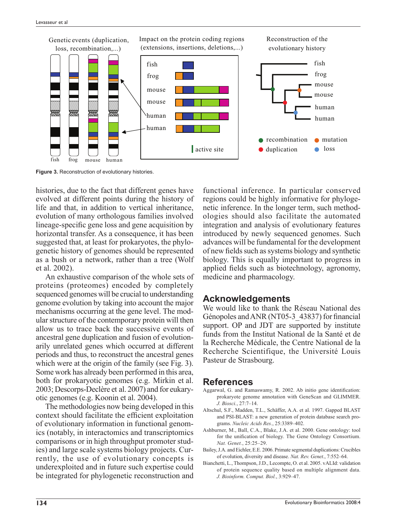

**Figure 3.** Reconstruction of evolutionary histories.

histories, due to the fact that different genes have evolved at different points during the history of life and that, in addition to vertical inheritance, evolution of many orthologous families involved lineage-specific gene loss and gene acquisition by horizontal transfer. As a consequence, it has been suggested that, at least for prokaryotes, the phylogenetic history of genomes should be represented as a bush or a network, rather than a tree (Wolf et al. 2002).

An exhaustive comparison of the whole sets of proteins (proteomes) encoded by completely sequenced genomes will be crucial to understanding genome evolution by taking into account the major mechanisms occurring at the gene level. The modular structure of the contemporary protein will then allow us to trace back the successive events of ancestral gene duplication and fusion of evolutionarily unrelated genes which occurred at different periods and thus, to reconstruct the ancestral genes which were at the origin of the family (see Fig. 3). Some work has already been performed in this area, both for prokaryotic genomes (e.g. Mirkin et al. 2003; Descorps-Declère et al. 2007) and for eukaryotic genomes (e.g. Koonin et al. 2004).

The methodologies now being developed in this context should facilitate the efficient exploitation of evolutionary information in functional genomics (notably, in interactomics and transcriptomics comparisons or in high throughput promoter studies) and large scale systems biology projects. Currently, the use of evolutionary concepts is underexploited and in future such expertise could be integrated for phylogenetic reconstruction and functional inference. In particular conserved regions could be highly informative for phylogenetic inference. In the longer term, such methodologies should also facilitate the automated integration and analysis of evolutionary features introduced by newly sequenced genomes. Such advances will be fundamental for the development of new fields such as systems biology and synthetic biology. This is equally important to progress in applied fields such as biotechnology, agronomy, medicine and pharmacology.

#### **Acknowledgements**

We would like to thank the Réseau National des Génopoles and ANR (NT05-3 43837) for financial support. OP and JDT are supported by institute funds from the Institut National de la Santé et de la Recherche Médicale, the Centre National de la Recherche Scientifique, the Université Louis Pasteur de Strasbourg.

#### **References**

- Aggarwal, G. and Ramaswamy, R. 2002. Ab initio gene identification: prokaryote genome annotation with GeneScan and GLIMMER. *J. Biosci.*, 27:7–14.
- Altschul, S.F., Madden, T.L., Schäffer, A.A. et al. 1997. Gapped BLAST and PSI-BLAST: a new generation of protein database search programs. *Nucleic Acids Res.*, 25:3389–402.
- Ashburner, M., Ball, C.A., Blake, J.A. et al. 2000. Gene ontology: tool for the unification of biology. The Gene Ontology Consortium. *Nat. Genet.*, 25:25–29.
- Bailey, J.A. and Eichler, E.E. 2006. Primate segmental duplications: Crucibles of evolution, diversity and disease. *Nat. Rev. Genet.*, 7:552–64.
- Bianchetti, L., Thompson, J.D., Lecompte, O. et al. 2005. vALId: validation of protein sequence quality based on multiple alignment data. *J. Bioinform. Comput. Biol.*, 3:929–47.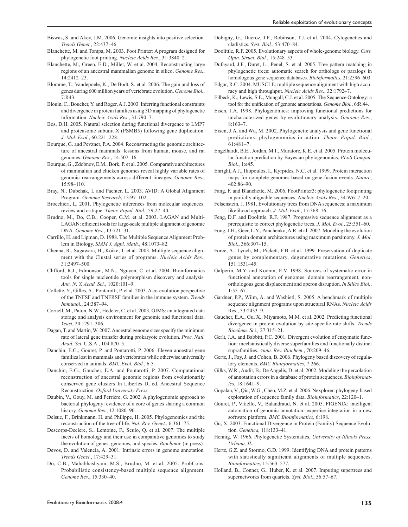- Biswas, S. and Akey, J.M. 2006. Genomic insights into positive selection. *Trends Genet.*, 22:437–46.
- Blanchette, M. and Tompa, M. 2003. Foot Printer: A program designed for phylogenetic foot printing. *Nucleic Acids Res.*, 31:3840–2.
- Blanchette, M., Green, E.D., Miller, W. et al. 2004. Reconstructing large regions of an ancestral mammalian genome in silico. *Genome Res.*, 14:2412–23.
- Blomme, T., Vandepoele, K., De Bodt, S. et al. 2006. The gain and loss of genes during 600 million years of vertebrate evolution. *Genome Biol.*,  $7-R43$
- Blouin, C., Boucher, Y. and Roger, A.J. 2003. Inferring functional constraints and divergence in protein families using 3D mapping of phylogenetic information. *Nucleic Acids Res.*, 31:790–7.
- Bos, D.H. 2005. Natural selection during functional divergence to LMP7 and proteasome subunit X (PSMB5) following gene duplication. *J. Mol. Evol.*, 60:221–228.
- Bourque, G. and Pevzner, P.A. 2004. Reconstructing the genomic architecture of ancestral mammals: lessons from human, mouse, and rat genomes. *Genome Res.*, 14:507–16.
- Bourque, G., Zdobnov, E.M., Bork, P. et al. 2005. Comparative architectures of mammalian and chicken genomes reveal highly variable rates of genomic rearrangements across different lineages. *Genome Res.*, 15:98–110.
- Bray, N., Dubchak, I. and Pachter, L. 2003. AVID: A Global Alignment Program. *Genome Research*, 13:97–102.
- Brocchieri, L. 2001. Phylogenetic inferences from molecular sequences: review and critique. *Theor. Popul. Biol.*, 59:27–40.
- Brudno, M., Do, C.B., Cooper, G.M. et al. 2003. LAGAN and Multi-LAGAN: efficient tools for large-scale multiple alignment of genomic DNA. *Genome Res.*, 13:721–31.
- Carrillo, H. and Lipman, D. 1988. The Multiple Sequence Alignment Problem in Biology. *SIAM J. Appl. Math.*, 48:1073–82.
- Chenna, R., Sugawara, H., Koike, T. et al. 2003. Multiple sequence alignment with the Clustal series of programs. *Nucleic Acids Res.*, 31:3497–500.
- Clifford, R.J., Edmonson, M.N., Nguyen, C. et al. 2004. Bioinformatics tools for single nucleotide polymorphism discovery and analysis. *Ann. N. Y. Acad. Sci.*, 1020:101–9.
- Collette, Y., Gilles, A., Pontarotti, P. et al. 2003. A co-evolution perspective of the TNFSF and TNFRSF families in the immune system. *Trends Immunol.*, 24:387–94.
- Cornell, M., Paton, N.W., Hedeler, C. et al. 2003. GIMS: an integrated data storage and analysis environment for genomic and functional data. *Yeast*, 20:1291–306.
- Dagan, T. and Martin, W. 2007. Ancestral genome sizes specify the minimum rate of lateral gene transfer during prokaryote evolution. *Proc. Natl. Acad. Sci.* U.S.A., 104:870–5.
- Danchin, E.G., Gouret, P. and Pontarotti, P. 2006. Eleven ancestral gene families lost in mammals and vertebrates while otherwise universally conserved in animals. *BMC Evol. Biol.*, 6:5.
- Danchin, E.G., Gaucher, E.A. and Pontarotti, P. 2007. Computational reconstruction of ancestral genomic regions from evolutionarily conserved gene clusters In Liberles D, ed. Ancestral Sequence Reconstruction. *Oxford University Press*.
- Daubin, V., Gouy, M. and Perrière, G. 2002. A phylogenomic approach to bacterial phylogeny: evidence of a core of genes sharing a common history. *Genome Res.*, 12:1080–90.
- Delsuc, F., Brinkmann, H. and Philippe, H. 2005. Phylogenomics and the reconstruction of the tree of life. *Nat. Rev. Genet.*, 6:361–75.
- Descorps-Declere, S., Lemoine, F., Sculo, Q. et al. 2007. The multiple facets of homology and their use in comparative genomics to study the evolution of genes, genomes, and species. *Biochimie* (in press).
- Devos, D. and Valencia, A. 2001. Intrinsic errors in genome annotation. *Trends Genet.*, 17:429–31.
- Do, C.B., Mahabhashyam, M.S., Brudno, M. et al. 2005. ProbCons: Probabilistic consistency-based multiple sequence alignment. *Genome Res.*, 15:330–40.
- Dobigny, G., Ducroz, J.F., Robinson, T.J. et al. 2004. Cytogenetics and cladistics. *Syst. Biol.*, 53:470–84.
- Doolittle, R.F. 2005. Evolutionary aspects of whole-genome biology. *Curr. Opin. Struct. Biol.*, 15:248–53.
- Dufayard, J.F., Duret, L., Penel, S. et al. 2005. Tree pattern matching in phylogenetic trees: automatic search for orthologs or paralogs in homologous gene sequence databases. *Bioinformatics*, 21:2596–603.
- Edgar, R.C. 2004. MUSCLE: multiple sequence alignment with high accuracy and high throughput. *Nucleic Acids Res.*, 32:1792–7.
- Eilbeck, K., Lewis, S.E., Mungall, C.J. et al. 2005. The Sequence Ontology: a tool for the unification of genome annotations. *Genome Biol.*, 6:R.44.
- Eisen, J.A. 1998. Phylogenomics: improving functional predictions for uncharacterized genes by evolutionary analysis. *Genome Res.*, 8:163–7.
- Eisen, J.A. and Wu, M. 2002. Phylogenetic analysis and gene functional predictions: phylogenomics in action. *Theor. Popul. Biol.*, 61:481–7.
- Engelhardt, B.E., Jordan, M.I., Muratore, K.E. et al. 2005. Protein molecular function prediction by Bayesian phylogenomics. *PLoS Comput. Biol.*, 1:e45.
- Enright, A.J., Iliopoulos, I., Kyrpides, N.C. et al. 1999. Protein interaction maps for complete genomes based on gene fusion events. *Nature*, 402:86–90.
- Fang, F. and Blanchette, M. 2006. FootPrinter3: phylogenetic footprinting in partially alignable sequences. *Nucleic Acids Res.*, 34:W617–20.
- Felsenstein, J. 1981. Evolutionary trees from DNA sequences: a maximum likelihood approach. *J. Mol. Evol.*, 17:368–76.
- Feng, D.F. and Doolittle, R.F. 1987. Progressive sequence alignment as a prerequisite to correct phylogenetic trees. *J. Mol. Evol.*, 25:351–60.
- Fong, J.H., Geer, L.Y., Panchenko, A.R. et al. 2007. Modeling the evolution of protein domain architectures using maximum parsimony. *J. Mol. Biol.*, 366:307–15.
- Force, A., Lynch, M., Pickett, F.B. et al. 1999. Preservation of duplicate genes by complementary, degenerative mutations. *Genetics*, 151:1531–45.
- Galperin, M.Y. and Koonin, E.V. 1998. Sources of systematic error in functional annotation of genomes: domain rearrangement, nonorthologous gene displacement and operon disruption. *In Silico Biol.*, 1:55–67.
- Gardner, P.P., Wilm, A. and Washietl, S. 2005. A benchmark of multiple sequence alignment programs upon structural RNAs. *Nucleic Acids* Res., 33:2433–9.
- Gaucher, E.A., Gu, X., Miyamoto, M.M. et al. 2002. Predicting functional divergence in protein evolution by site-specific rate shifts. Trends *Biochem. Sci.,* 27:315–21.
- Gerlt, J.A. and Babbitt, P.C. 2001. Divergent evolution of enzymatic function: mechanistically diverse superfamilies and functionally distinct suprafamilies. *Annu. Rev. Biochem.*, 70:209–46.
- Gertz, J., Fay, J. and Cohen, B. 2006. Phylogeny based discovery of regulatory elements. *BMC Bioinformatics*, 7:266.
- Gilks, W.R., Audit, B., De Angelis, D. et al. 2002. Modeling the percolation of annotation errors in a database of protein sequences. *Bioinformatics*, 18:1641–9.
- Gopalan, V., Qiu, W.G., Chen, M.Z. et al. 2006. Nexplorer: phylogeny-based exploration of sequence family data. *Bioinformatics*, 22:120–1.
- Gouret, P., Vitiello, V., Balandraud, N. et al. 2005. FIGENIX: intelligent automation of genomic annotation: expertise integration in a new software platform. *BMC Bioinformatics*, 6:198.
- Gu, X. 2003. Functional Divergence in Protein (Family) Sequence Evolution. *Genetica,* 118:133–41.
- Hennig, W. 1966. Phylogenetic Systematics, *University of Illinois Press, Urbana, IL*.
- Hertz, G.Z. and Stormo, G.D. 1999. Identifying DNA and protein patterns with statistically significant alignments of multiple sequences. *Bioinformatics*, 15:563–577.
- Holland, B., Conner, G., Huber, K. et al. 2007. Imputing supertrees and supernetworks from quartets. *Syst. Biol.*, 56:57–67.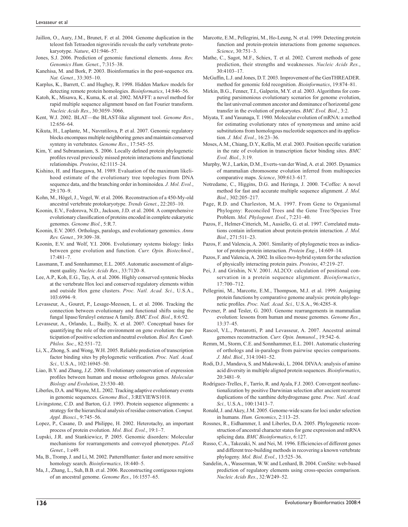- Jaillon, O., Aury, J.M., Brunet, F. et al. 2004. Genome duplication in the teleost fish Tetraodon nigroviridis reveals the early vertebrate protokaryotype. *Nature*, 431:946–57.
- Jones, S.J. 2006. Prediction of genomic functional elements. *Annu. Rev. Genomics Hum. Genet.*, 7:315–38.
- Kanehisa, M. and Bork, P. 2003. Bioinformatics in the post-sequence era. *Nat. Genet.*, 33:305–10.
- Karplus, K., Barrett, C. and Hughey, R. 1998. Hidden Markov models for detecting remote protein homologies. *Bioinformatics*, 14:846–56.
- Katoh, K., Misawa, K., Kuma, K. et al. 2002. MAFFT: a novel method for rapid multiple sequence alignment based on fast Fourier transform. *Nucleic Acids Res.*, 30:3059–3066.
- Kent, W.J. 2002. BLAT—the BLAST-like alignment tool. *Genome Res.*, 12:656–64.
- Kikuta, H., Laplante, M., Navratilova, P. et al. 2007. Genomic regulatory blocks encompass multiple neighboring genes and maintain conserved synteny in vertebrates. *Genome Res.*, 17:545–55.
- Kim, Y. and Subramaniam, S. 2006. Locally defined protein phylogenetic profiles reveal previously missed protein interactions and functional relationships. *Proteins*, 62:1115–24.
- Kishino, H. and Hasegawa, M. 1989. Evaluation of the maximum likelihood estimate of the evolutionary tree topologies from DNA sequence data, and the branching order in hominoidea. *J. Mol. Evol.*, 29:170–9.
- Kohn, M., Högel, J., Vogel, W. et al. 2006. Reconstruction of a 450-My-old ancestral vertebrate protokaryotype. *Trends Genet.*, 22:203–10.
- Koonin, E.V., Fedorova, N.D., Jackson, J.D. et al. 2004. A comprehensive evolutionary classification of proteins encoded in complete eukaryotic genomes. *Genome Biol.*, 5:R.7.
- Koonin, E.V. 2005. Orthologs, paralogs, and evolutionary genomics. *Annu Rev. Genet.*, 39:309–38.
- Koonin, E.V. and Wolf, Y.I. 2006. Evolutionary systems biology: links between gene evolution and function. *Curr. Opin. Biotechnol.*, 17:481–7.
- Lassmann, T. and Sonnhammer, E.L. 2005. Automatic assessment of alignment quality. *Nucleic Acids Res.*, 33:7120–8.
- Lee, A.P., Koh, E.G., Tay, A. et al. 2006. Highly conserved syntenic blocks at the vertebrate Hox loci and conserved regulatory elements within and outside Hox gene clusters. *Proc. Natl. Acad. Sci.,* U.S.A., 103:6994–9.
- Levasseur, A., Gouret, P., Lesage-Meessen, L. et al. 2006. Tracking the connection between evolutionary and functional shifts using the fungal lipase/feruloyl esterase A family. *BMC Evol. Biol.*, 8:6:92.
- Levasseur, A., Orlando, L., Bailly, X. et al. 2007. Conceptual bases for quantifying the role of the environment on gene evolution: the participation of positive selection and neutral evolution. *Biol. Rev. Camb. Philos. Soc.*, 82:551–72.
- Li, X., Zhong, S. and Wong, W.H. 2005. Reliable prediction of transcription factor binding sites by phylogenetic verification. Proc. Natl. Acad. *Sci.,* U.S.A., 102:16945–50.
- Liao, B.Y. and Zhang, J.Z. 2006. Evolutionary conservation of expression profiles between human and mouse orthologous genes. *Molecular Biology and Evolution*, 23:530–40.
- Liberles, D.A. and Wayne, M.L. 2002. Tracking adaptive evolutionary events in genomic sequences. *Genome Biol.*, 3:REVIEWS1018.
- Livingstone, C.D. and Barton, G.J. 1993. Protein sequence alignments: a strategy for the hierarchical analysis of residue conservation. *Comput. Appl. Biosci.*, 9:745–56.
- Lopez, P., Casane, D. and Philippe, H. 2002. Heterotachy, an important process of protein evolution. *Mol. Biol. Evol.*, 19:1–7.
- Lupski, J.R. and Stankiewicz, P. 2005. Genomic disorders: Molecular mechanisms for rearrangements and conveyed phenotypes. *PLoS Genet.*, 1:e49.
- Ma, B., Tromp, J. and Li, M. 2002. PatternHunter: faster and more sensitive homology search. *Bioinformatics*, 18:440–5.
- Ma, J., Zhang, L., Suh, B.B. et al. 2006. Reconstructing contiguous regions of an ancestral genome. *Genome Res.*, 16:1557–65.
- Marcotte, E.M., Pellegrini, M., Ho-Leung, N. et al. 1999. Detecting protein function and protein-protein interactions from genome sequences. *Science*, 30:751–3.
- Mathe, C., Sagot, M.F., Schiex, T. et al. 2002. Current methods of gene prediction, their strengths and weaknesses. *Nucleic Acids Res.*, 30:4103–17.
- McGuffin, L.J. and Jones, D.T. 2003. Improvement of the GenTHREADER. method for genomic fold recognition. *Bioinformatics*, 19:874–81.
- Mirkin, B.G., Fenner, T.I., Galperin, M.Y. et al. 2003. Algorithms for computing parsimonious evolutionary scenarios for genome evolution, the last universal common ancestor and dominance of horizontal gene transfer in the evolution of prokaryotes. *BMC Evol. Biol.*, 3:2.
- Miyata, T. and Yasunaga, T. 1980. Molecular evolution of mRNA: a method for estimating evolutionary rates of synonymous and amino acid substitutions from homologous nucleotide sequences and its application. *J. Mol. Evol.*, 16:23–36.
- Moses, A.M., Chiang, D.Y., Kellis, M. et al. 2003. Position specific variation in the rate of evolution in transcription factor binding sites. *BMC Evol. Biol.*, 3:19.
- Murphy, W.J., Larkin, D.M., Everts-van der Wind, A. et al. 2005. Dynamics of mammalian chromosome evolution inferred from multispecies comparative maps. *Science*, 309:613–617.
- Notredame, C., Higgins, D.G. and Heringa, J. 2000. T-Coffee: A novel method for fast and accurate multiple sequence alignment. *J. Mol. Biol.*, 302:205–217.
- Page, R.D. and Charleston, M.A. 1997. From Gene to Organismal Phylogeny: Reconciled Trees and the Gene Tree/Species Tree Problem. *Mol. Phylogenet. Evol.*, 7:231–40.
- Pazos, F., Helmer-Citterich, M., Ausiello, G. et al. 1997. Correlated mutations contain information about protein-protein interaction. *J. Mol. Biol.*, 271:511–23.
- Pazos, F. and Valencia, A. 2001. Similarity of phylogenetic trees as indicator of protein-protein interaction. *Protein Eng.*, 14:609–14.
- Pazos, F. and Valencia, A. 2002. In silico two-hybrid system for the selection of physically interacting protein pairs. *Proteins*, 47:219–27.
- Pei, J. and Grishin, N.V. 2001. AL2CO: calculation of positional conservation in a protein sequence alignment. *Bioinformatics*, 17:700–712.
- Pellegrini, M., Marcotte, E.M., Thompson, M.J. et al. 1999. Assigning protein functions by comparative genome analysis: protein phylogenetic profiles. *Proc. Natl. Acad. Sci., U.S.A.*, 96:4285-8.
- Pevzner, P. and Tesler, G. 2003. Genome rearrangements in mammalian evolution: lessons from human and mouse genomes. *Genome Res.*, 13:37–45.
- Rascol, V.L., Pontarotti, P. and Levasseur, A. 2007. Ancestral animal genomes reconstruction. *Curr. Opin. Immunol.*, 19:542–6.
- Remm, M., Storm, C.E. and Sonnhammer, E.L. 2001. Automatic clustering of orthologs and in-paralogs from pairwise species comparisons. *J. Mol. Biol.*, 314:1041–52.
- Rodi, D.J., Mandava, S. and Makowski, L. 2004. DIVAA: analysis of amino acid diversity in multiple aligned protein sequences. *Bioinformatics*, 20:3481–9.
- Rodríguez-Trelles, F., Tarrío, R. and Ayala, F.J. 2003. Convergent neofunctionalization by positive Darwinian selection after ancient recurrent duplications of the xanthine dehydrogenase gene. *Proc. Natl. Acad. Sci.,* U.S.A., 100:13413–7.
- Ronald, J. and Akey, J.M. 2005. Genome-wide scans for loci under selection in humans. *Hum. Genomics*, 2:113–25.
- Rossnes, R., Eidhammer, I. and Liberles, D.A. 2005. Phylogenetic reconstruction of ancestral character states for gene expression and mRNA splicing data. *BMC Bioinformatics*, 6:127.
- Russo, C.A., Takezaki, N. and Nei, M. 1996. Efficiencies of different genes and different tree-building methods in recovering a known vertebrate phylogeny. *Mol. Biol. Evol.*, 13:525–36.
- Sandelin, A., Wasserman, W.W. and Lenhard, B. 2004. ConSite: web-based prediction of regulatory elements using cross-species comparison. *Nucleic Acids Res.*, 32:W249–52.